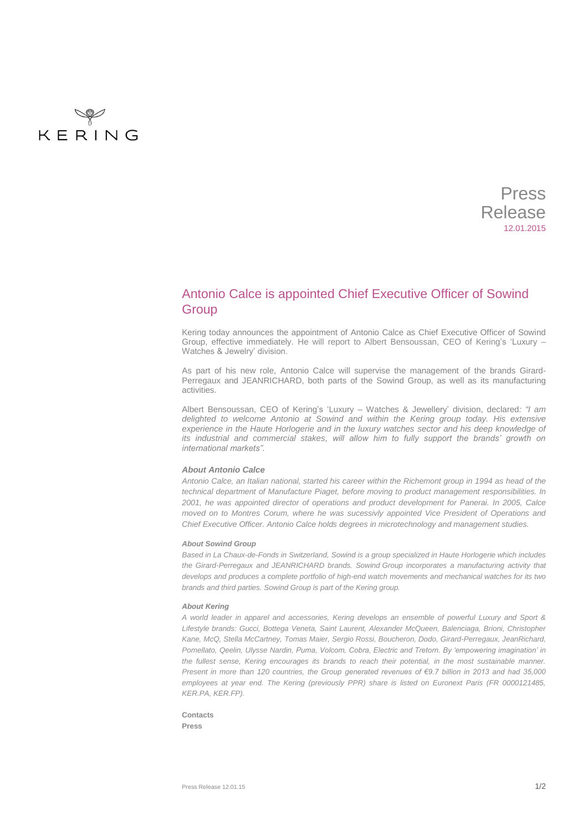

# Press Release 12.01.2015

# Antonio Calce is appointed Chief Executive Officer of Sowind **Group**

Kering today announces the appointment of Antonio Calce as Chief Executive Officer of Sowind Group, effective immediately. He will report to Albert Bensoussan, CEO of Kering's 'Luxury – Watches & Jewelry' division.

As part of his new role, Antonio Calce will supervise the management of the brands Girard-Perregaux and JEANRICHARD, both parts of the Sowind Group, as well as its manufacturing activities.

Albert Bensoussan, CEO of Kering's 'Luxury – Watches & Jewellery' division, declared*: "I am delighted to welcome Antonio at Sowind and within the Kering group today. His extensive experience in the Haute Horlogerie and in the luxury watches sector and his deep knowledge of its industrial and commercial stakes, will allow him to fully support the brands' growth on international markets".* 

## *About Antonio Calce*

*Antonio Calce, an Italian national, started his career within the Richemont group in 1994 as head of the technical department of Manufacture Piaget, before moving to product management responsibilities. In 2001, he was appointed director of operations and product development for Panerai. In 2005, Calce moved on to Montres Corum, where he was sucessivly appointed Vice President of Operations and Chief Executive Officer. Antonio Calce holds degrees in microtechnology and management studies.* 

### *About Sowind Group*

*Based in La Chaux-de-Fonds in Switzerland, Sowind is a group specialized in Haute Horlogerie which includes the Girard-Perregaux and JEANRICHARD brands. Sowind Group incorporates a manufacturing activity that develops and produces a complete portfolio of high-end watch movements and mechanical watches for its two brands and third parties. Sowind Group is part of the Kering group.*

### *About Kering*

*A world leader in apparel and accessories, Kering develops an ensemble of powerful Luxury and Sport & Lifestyle brands: Gucci, Bottega Veneta, Saint Laurent, Alexander McQueen, Balenciaga, Brioni, Christopher Kane, McQ, Stella McCartney, Tomas Maier, Sergio Rossi, Boucheron, Dodo, Girard-Perregaux, JeanRichard, Pomellato, Qeelin, Ulysse Nardin, Puma, Volcom, Cobra, Electric and Tretorn. By 'empowering imagination' in the fullest sense, Kering encourages its brands to reach their potential, in the most sustainable manner. Present in more than 120 countries, the Group generated revenues of €9.7 billion in 2013 and had 35,000 employees at year end. The Kering (previously PPR) share is listed on Euronext Paris (FR 0000121485, KER.PA, KER.FP).*

**Contacts Press**